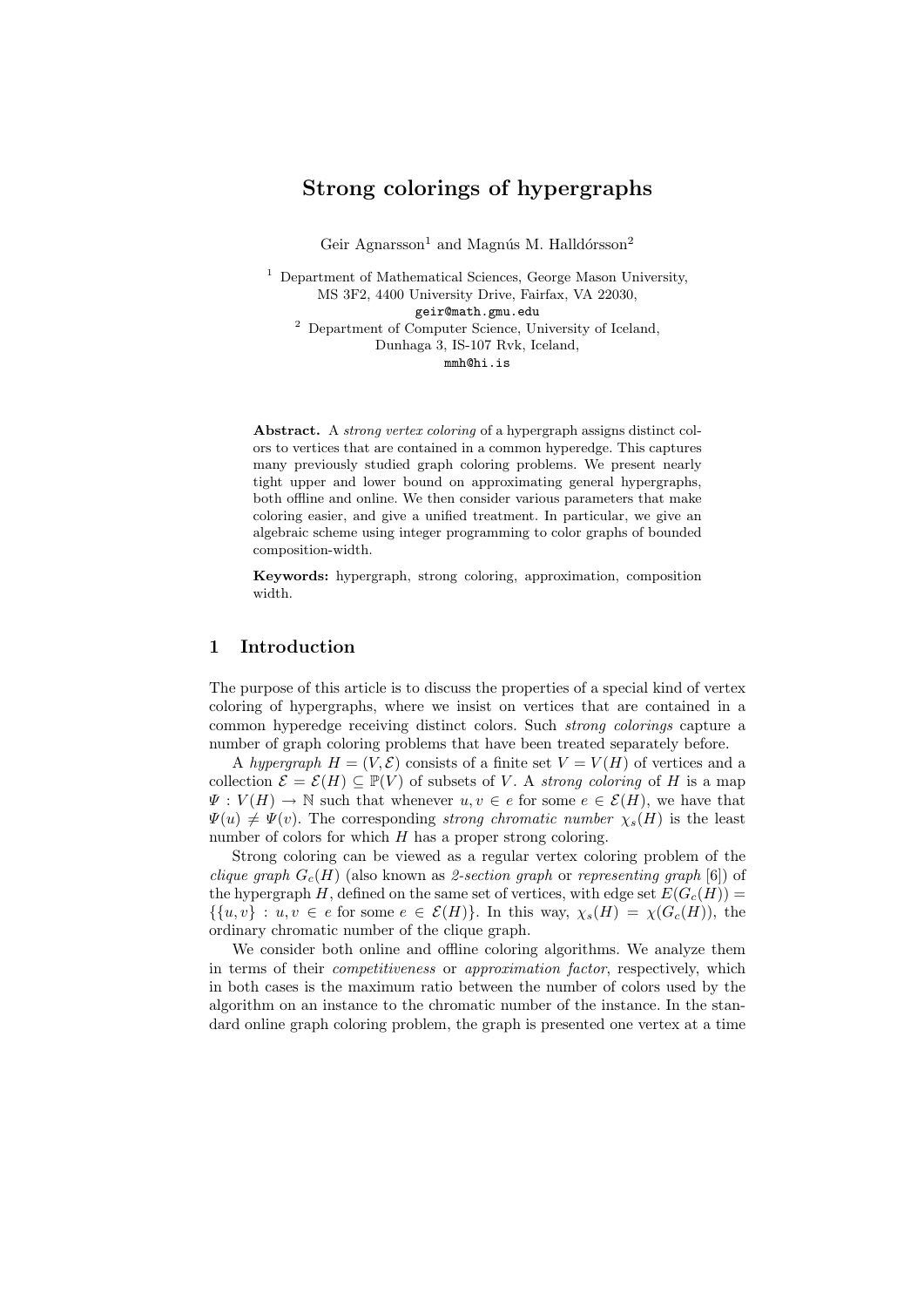# Strong colorings of hypergraphs

Geir Agnarsson<sup>1</sup> and Magnús M. Halldórsson<sup>2</sup>

<sup>1</sup> Department of Mathematical Sciences, George Mason University, MS 3F2, 4400 University Drive, Fairfax, VA 22030, geir@math.gmu.edu <sup>2</sup> Department of Computer Science, University of Iceland, Dunhaga 3, IS-107 Rvk, Iceland, mmh@hi.is

Abstract. A strong vertex coloring of a hypergraph assigns distinct colors to vertices that are contained in a common hyperedge. This captures many previously studied graph coloring problems. We present nearly tight upper and lower bound on approximating general hypergraphs, both offline and online. We then consider various parameters that make coloring easier, and give a unified treatment. In particular, we give an algebraic scheme using integer programming to color graphs of bounded composition-width.

Keywords: hypergraph, strong coloring, approximation, composition width.

# 1 Introduction

The purpose of this article is to discuss the properties of a special kind of vertex coloring of hypergraphs, where we insist on vertices that are contained in a common hyperedge receiving distinct colors. Such strong colorings capture a number of graph coloring problems that have been treated separately before.

A hypergraph  $H = (V, \mathcal{E})$  consists of a finite set  $V = V(H)$  of vertices and a collection  $\mathcal{E} = \mathcal{E}(H) \subseteq \mathbb{P}(V)$  of subsets of V. A strong coloring of H is a map  $\Psi: V(H) \to \mathbb{N}$  such that whenever  $u, v \in e$  for some  $e \in \mathcal{E}(H)$ , we have that  $\Psi(u) \neq \Psi(v)$ . The corresponding strong chromatic number  $\chi_s(H)$  is the least number of colors for which  $H$  has a proper strong coloring.

Strong coloring can be viewed as a regular vertex coloring problem of the clique graph  $G_c(H)$  (also known as 2-section graph or representing graph [6]) of the hypergraph H, defined on the same set of vertices, with edge set  $E(G_c(H)) =$  $\{ \{u, v\} : u, v \in e \text{ for some } e \in \mathcal{E}(H) \}.$  In this way,  $\chi_s(H) = \chi(G_c(H))$ , the ordinary chromatic number of the clique graph.

We consider both online and offline coloring algorithms. We analyze them in terms of their competitiveness or approximation factor, respectively, which in both cases is the maximum ratio between the number of colors used by the algorithm on an instance to the chromatic number of the instance. In the standard online graph coloring problem, the graph is presented one vertex at a time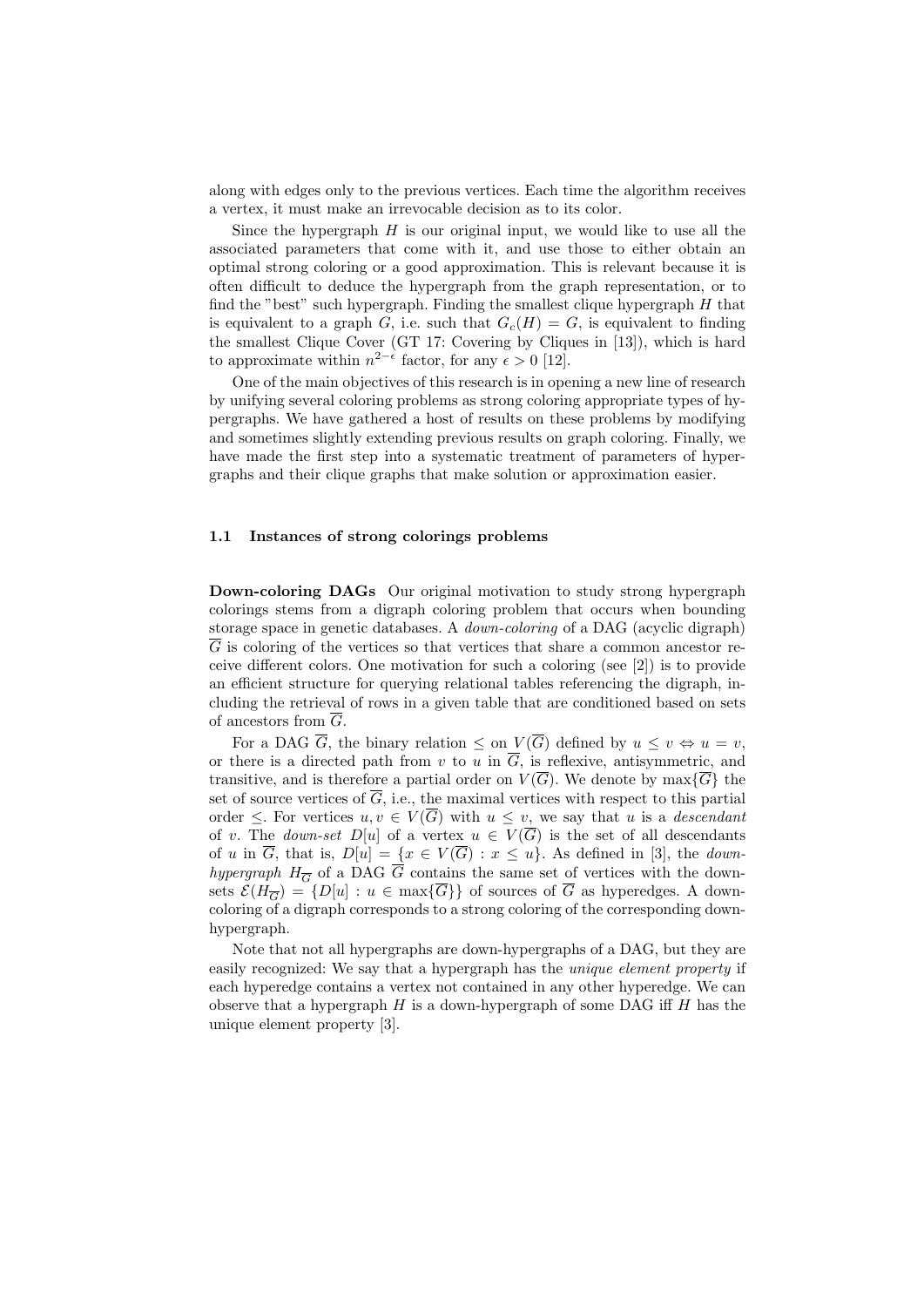along with edges only to the previous vertices. Each time the algorithm receives a vertex, it must make an irrevocable decision as to its color.

Since the hypergraph  $H$  is our original input, we would like to use all the associated parameters that come with it, and use those to either obtain an optimal strong coloring or a good approximation. This is relevant because it is often difficult to deduce the hypergraph from the graph representation, or to find the "best" such hypergraph. Finding the smallest clique hypergraph  $H$  that is equivalent to a graph G, i.e. such that  $G_c(H) = G$ , is equivalent to finding the smallest Clique Cover (GT 17: Covering by Cliques in [13]), which is hard to approximate within  $n^{2-\epsilon}$  factor, for any  $\epsilon > 0$  [12].

One of the main objectives of this research is in opening a new line of research by unifying several coloring problems as strong coloring appropriate types of hypergraphs. We have gathered a host of results on these problems by modifying and sometimes slightly extending previous results on graph coloring. Finally, we have made the first step into a systematic treatment of parameters of hypergraphs and their clique graphs that make solution or approximation easier.

### 1.1 Instances of strong colorings problems

Down-coloring DAGs Our original motivation to study strong hypergraph colorings stems from a digraph coloring problem that occurs when bounding storage space in genetic databases. A down-coloring of a DAG (acyclic digraph) G is coloring of the vertices so that vertices that share a common ancestor receive different colors. One motivation for such a coloring (see [2]) is to provide an efficient structure for querying relational tables referencing the digraph, including the retrieval of rows in a given table that are conditioned based on sets of ancestors from  $\overline{G}$ .

For a DAG  $\overline{G}$ , the binary relation  $\leq$  on  $V(\overline{G})$  defined by  $u \leq v \Leftrightarrow u = v$ , or there is a directed path from v to u in  $\overline{G}$ , is reflexive, antisymmetric, and transitive, and is therefore a partial order on  $V(\overline{G})$ . We denote by max $\{\overline{G}\}\$  the set of source vertices of  $\overline{G}$ , i.e., the maximal vertices with respect to this partial order  $\leq$ . For vertices  $u, v \in V(\overline{G})$  with  $u \leq v$ , we say that u is a *descendant* of v. The *down-set*  $D[u]$  of a vertex  $u \in V(\overline{G})$  is the set of all descendants of u in  $\overline{G}$ , that is,  $D[u] = \{x \in V(\overline{G}) : x \leq u\}$ . As defined in [3], the *down*hypergraph  $H_{\overline{G}}$  of a DAG  $\overline{G}$  contains the same set of vertices with the downsets  $\mathcal{E}(H_{\overline{G}}) = \{D[u] : u \in \max\{\overline{G}\}\}\$  of sources of  $\overline{G}$  as hyperedges. A downcoloring of a digraph corresponds to a strong coloring of the corresponding downhypergraph.

Note that not all hypergraphs are down-hypergraphs of a DAG, but they are easily recognized: We say that a hypergraph has the unique element property if each hyperedge contains a vertex not contained in any other hyperedge. We can observe that a hypergraph  $H$  is a down-hypergraph of some DAG iff  $H$  has the unique element property [3].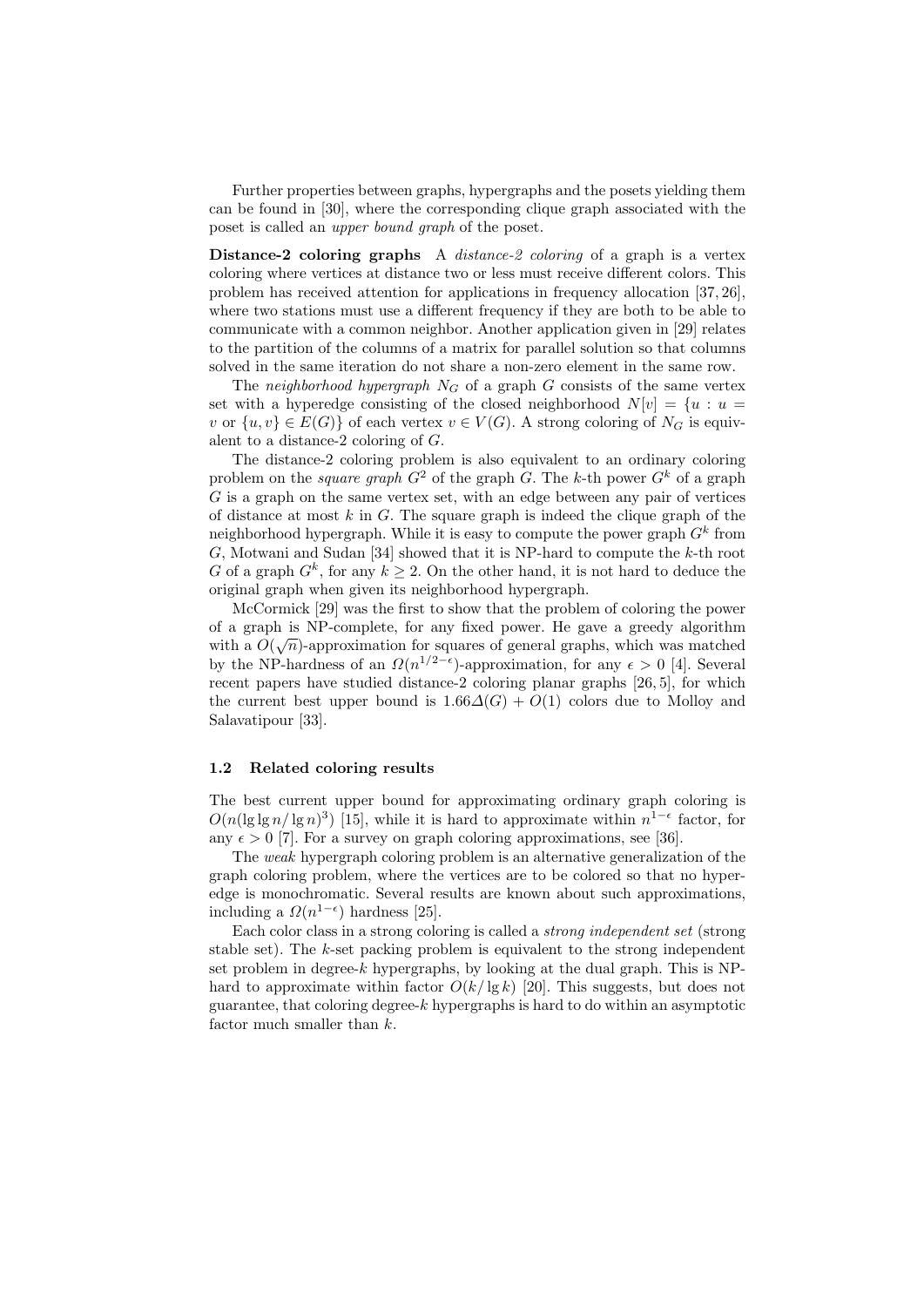Further properties between graphs, hypergraphs and the posets yielding them can be found in [30], where the corresponding clique graph associated with the poset is called an upper bound graph of the poset.

Distance-2 coloring graphs A *distance-2 coloring* of a graph is a vertex coloring where vertices at distance two or less must receive different colors. This problem has received attention for applications in frequency allocation [37, 26], where two stations must use a different frequency if they are both to be able to communicate with a common neighbor. Another application given in [29] relates to the partition of the columns of a matrix for parallel solution so that columns solved in the same iteration do not share a non-zero element in the same row.

The neighborhood hypergraph  $N_G$  of a graph  $G$  consists of the same vertex set with a hyperedge consisting of the closed neighborhood  $N[v] = \{u : u =$ v or  $\{u, v\} \in E(G)$  of each vertex  $v \in V(G)$ . A strong coloring of  $N_G$  is equivalent to a distance-2 coloring of G.

The distance-2 coloring problem is also equivalent to an ordinary coloring problem on the *square graph*  $G^2$  of the graph G. The k-th power  $G^k$  of a graph G is a graph on the same vertex set, with an edge between any pair of vertices of distance at most  $k$  in  $G$ . The square graph is indeed the clique graph of the neighborhood hypergraph. While it is easy to compute the power graph  $G^k$  from  $G$ , Motwani and Sudan [34] showed that it is NP-hard to compute the  $k$ -th root G of a graph  $G^k$ , for any  $k \geq 2$ . On the other hand, it is not hard to deduce the original graph when given its neighborhood hypergraph.

McCormick [29] was the first to show that the problem of coloring the power of a graph is NP-complete, for any fixed power. He gave a greedy algorithm with a  $O(\sqrt{n})$ -approximation for squares of general graphs, which was matched by the NP-hardness of an  $\Omega(n^{1/2-\epsilon})$ -approximation, for any  $\epsilon > 0$  [4]. Several recent papers have studied distance-2 coloring planar graphs [26, 5], for which the current best upper bound is  $1.66\Delta(G) + O(1)$  colors due to Molloy and Salavatipour [33].

#### 1.2 Related coloring results

The best current upper bound for approximating ordinary graph coloring is  $O(n(\lg \lg n/\lg n)^3)$  [15], while it is hard to approximate within  $n^{1-\epsilon}$  factor, for any  $\epsilon > 0$  [7]. For a survey on graph coloring approximations, see [36].

The weak hypergraph coloring problem is an alternative generalization of the graph coloring problem, where the vertices are to be colored so that no hyperedge is monochromatic. Several results are known about such approximations, including a  $\Omega(n^{1-\epsilon})$  hardness [25].

Each color class in a strong coloring is called a strong independent set (strong stable set). The  $k$ -set packing problem is equivalent to the strong independent set problem in degree- $k$  hypergraphs, by looking at the dual graph. This is NPhard to approximate within factor  $O(k/\lg k)$  [20]. This suggests, but does not guarantee, that coloring degree- $k$  hypergraphs is hard to do within an asymptotic factor much smaller than k.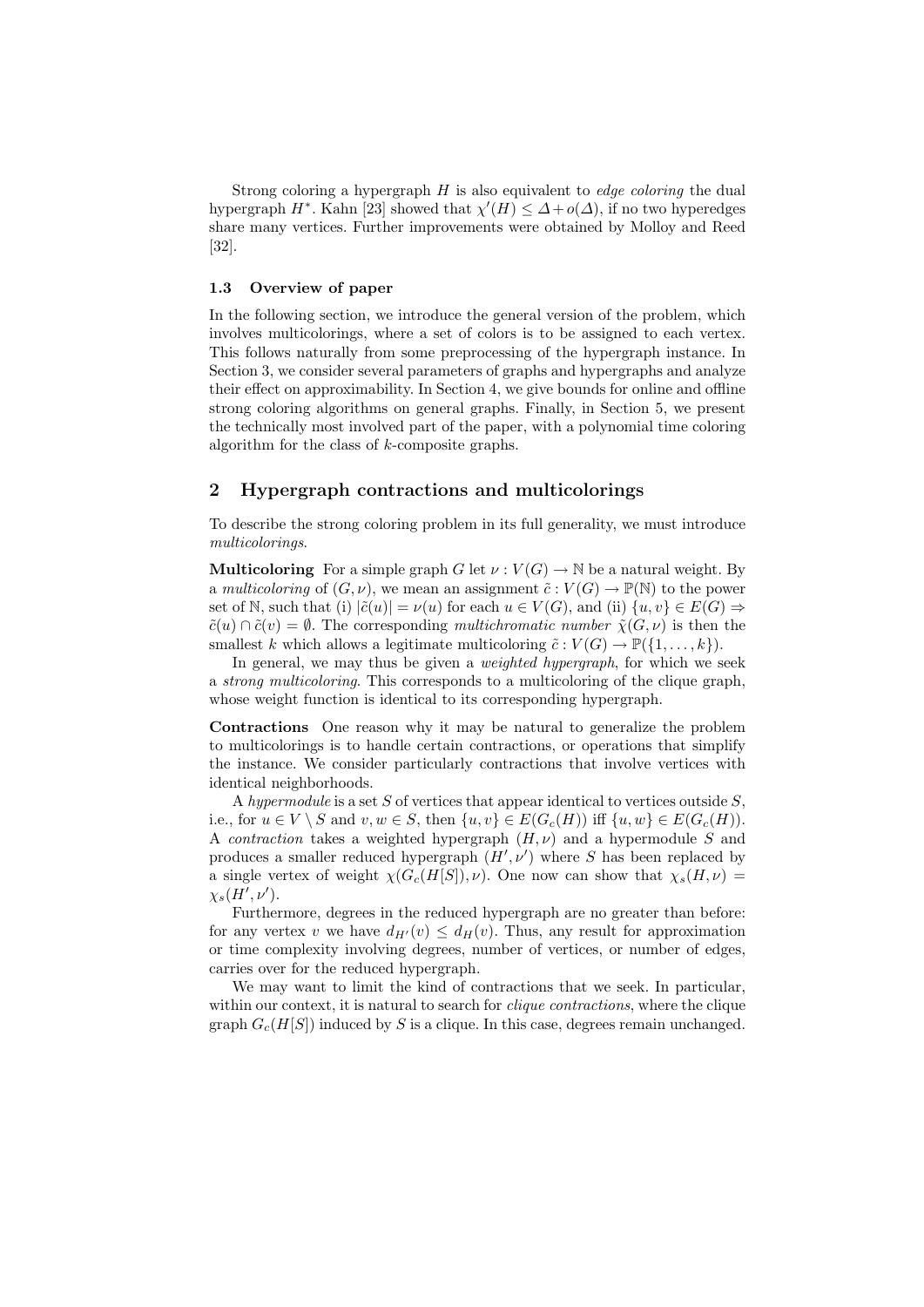Strong coloring a hypergraph  $H$  is also equivalent to *edge coloring* the dual hypergraph  $H^*$ . Kahn [23] showed that  $\chi'(H) \leq \Delta + o(\Delta)$ , if no two hyperedges share many vertices. Further improvements were obtained by Molloy and Reed [32].

#### 1.3 Overview of paper

In the following section, we introduce the general version of the problem, which involves multicolorings, where a set of colors is to be assigned to each vertex. This follows naturally from some preprocessing of the hypergraph instance. In Section 3, we consider several parameters of graphs and hypergraphs and analyze their effect on approximability. In Section 4, we give bounds for online and offline strong coloring algorithms on general graphs. Finally, in Section 5, we present the technically most involved part of the paper, with a polynomial time coloring algorithm for the class of k-composite graphs.

### 2 Hypergraph contractions and multicolorings

To describe the strong coloring problem in its full generality, we must introduce multicolorings.

**Multicoloring** For a simple graph G let  $\nu : V(G) \to \mathbb{N}$  be a natural weight. By a multicoloring of  $(G, \nu)$ , we mean an assignment  $\tilde{c}: V(G) \to \mathbb{P}(\mathbb{N})$  to the power set of N, such that (i)  $|\tilde{c}(u)| = \nu(u)$  for each  $u \in V(G)$ , and (ii)  $\{u, v\} \in E(G) \Rightarrow$  $\tilde{c}(u) \cap \tilde{c}(v) = \emptyset$ . The corresponding multichromatic number  $\tilde{\chi}(G, \nu)$  is then the smallest k which allows a legitimate multicoloring  $\tilde{c}: V(G) \to \mathbb{P}(\{1, \ldots, k\}).$ 

In general, we may thus be given a *weighted hypergraph*, for which we seek a strong multicoloring. This corresponds to a multicoloring of the clique graph, whose weight function is identical to its corresponding hypergraph.

Contractions One reason why it may be natural to generalize the problem to multicolorings is to handle certain contractions, or operations that simplify the instance. We consider particularly contractions that involve vertices with identical neighborhoods.

A hypermodule is a set S of vertices that appear identical to vertices outside  $S$ . i.e., for  $u \in V \setminus S$  and  $v, w \in S$ , then  $\{u, v\} \in E(G_c(H))$  iff  $\{u, w\} \in E(G_c(H))$ . A *contraction* takes a weighted hypergraph  $(H, \nu)$  and a hypermodule S and produces a smaller reduced hypergraph  $(H', \nu')$  where S has been replaced by a single vertex of weight  $\chi(G_c(H[S]), \nu)$ . One now can show that  $\chi_s(H, \nu)$  =  $\chi_s(\tilde{H'},\nu').$ 

Furthermore, degrees in the reduced hypergraph are no greater than before: for any vertex v we have  $d_{H'}(v) \leq d_H(v)$ . Thus, any result for approximation or time complexity involving degrees, number of vertices, or number of edges, carries over for the reduced hypergraph.

We may want to limit the kind of contractions that we seek. In particular, within our context, it is natural to search for *clique contractions*, where the clique graph  $G_c(H[S])$  induced by S is a clique. In this case, degrees remain unchanged.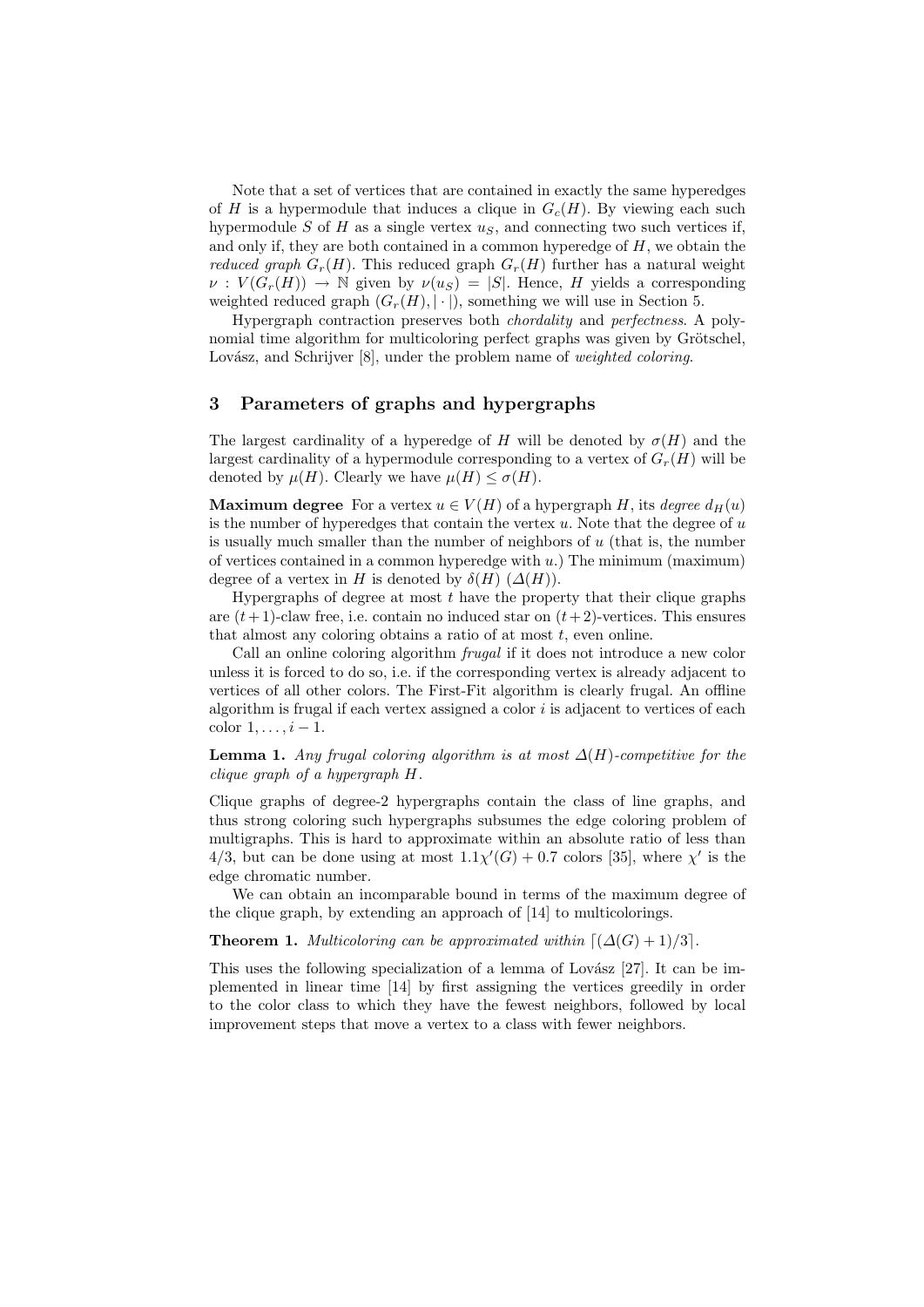Note that a set of vertices that are contained in exactly the same hyperedges of H is a hypermodule that induces a clique in  $G_c(H)$ . By viewing each such hypermodule  $S$  of  $H$  as a single vertex  $u_S$ , and connecting two such vertices if, and only if, they are both contained in a common hyperedge of  $H$ , we obtain the reduced graph  $G_r(H)$ . This reduced graph  $G_r(H)$  further has a natural weight  $\nu: V(G_r(H)) \to \mathbb{N}$  given by  $\nu(u_s) = |S|$ . Hence, H yields a corresponding weighted reduced graph  $(G_r(H), |\cdot|)$ , something we will use in Section 5.

Hypergraph contraction preserves both chordality and perfectness. A polynomial time algorithm for multicoloring perfect graphs was given by Grötschel, Lovász, and Schrijver [8], under the problem name of weighted coloring.

# 3 Parameters of graphs and hypergraphs

The largest cardinality of a hyperedge of H will be denoted by  $\sigma(H)$  and the largest cardinality of a hypermodule corresponding to a vertex of  $G_r(H)$  will be denoted by  $\mu(H)$ . Clearly we have  $\mu(H) \leq \sigma(H)$ .

**Maximum degree** For a vertex  $u \in V(H)$  of a hypergraph H, its *degree*  $d_H(u)$ is the number of hyperedges that contain the vertex  $u$ . Note that the degree of  $u$ is usually much smaller than the number of neighbors of  $u$  (that is, the number of vertices contained in a common hyperedge with  $u$ .) The minimum (maximum) degree of a vertex in H is denoted by  $\delta(H)$  ( $\Delta(H)$ ).

Hypergraphs of degree at most  $t$  have the property that their clique graphs are  $(t+1)$ -claw free, i.e. contain no induced star on  $(t+2)$ -vertices. This ensures that almost any coloring obtains a ratio of at most  $t$ , even online.

Call an online coloring algorithm frugal if it does not introduce a new color unless it is forced to do so, i.e. if the corresponding vertex is already adjacent to vertices of all other colors. The First-Fit algorithm is clearly frugal. An offline algorithm is frugal if each vertex assigned a color  $i$  is adjacent to vertices of each color  $1, \ldots, i-1$ .

**Lemma 1.** Any frugal coloring algorithm is at most  $\Delta(H)$ -competitive for the clique graph of a hypergraph H.

Clique graphs of degree-2 hypergraphs contain the class of line graphs, and thus strong coloring such hypergraphs subsumes the edge coloring problem of multigraphs. This is hard to approximate within an absolute ratio of less than 4/3, but can be done using at most  $1.1\chi'(G) + 0.7$  colors [35], where  $\chi'$  is the edge chromatic number.

We can obtain an incomparable bound in terms of the maximum degree of the clique graph, by extending an approach of [14] to multicolorings.

**Theorem 1.** Multicoloring can be approximated within  $[(\Delta(G) + 1)/3]$ .

This uses the following specialization of a lemma of Lovász  $[27]$ . It can be implemented in linear time [14] by first assigning the vertices greedily in order to the color class to which they have the fewest neighbors, followed by local improvement steps that move a vertex to a class with fewer neighbors.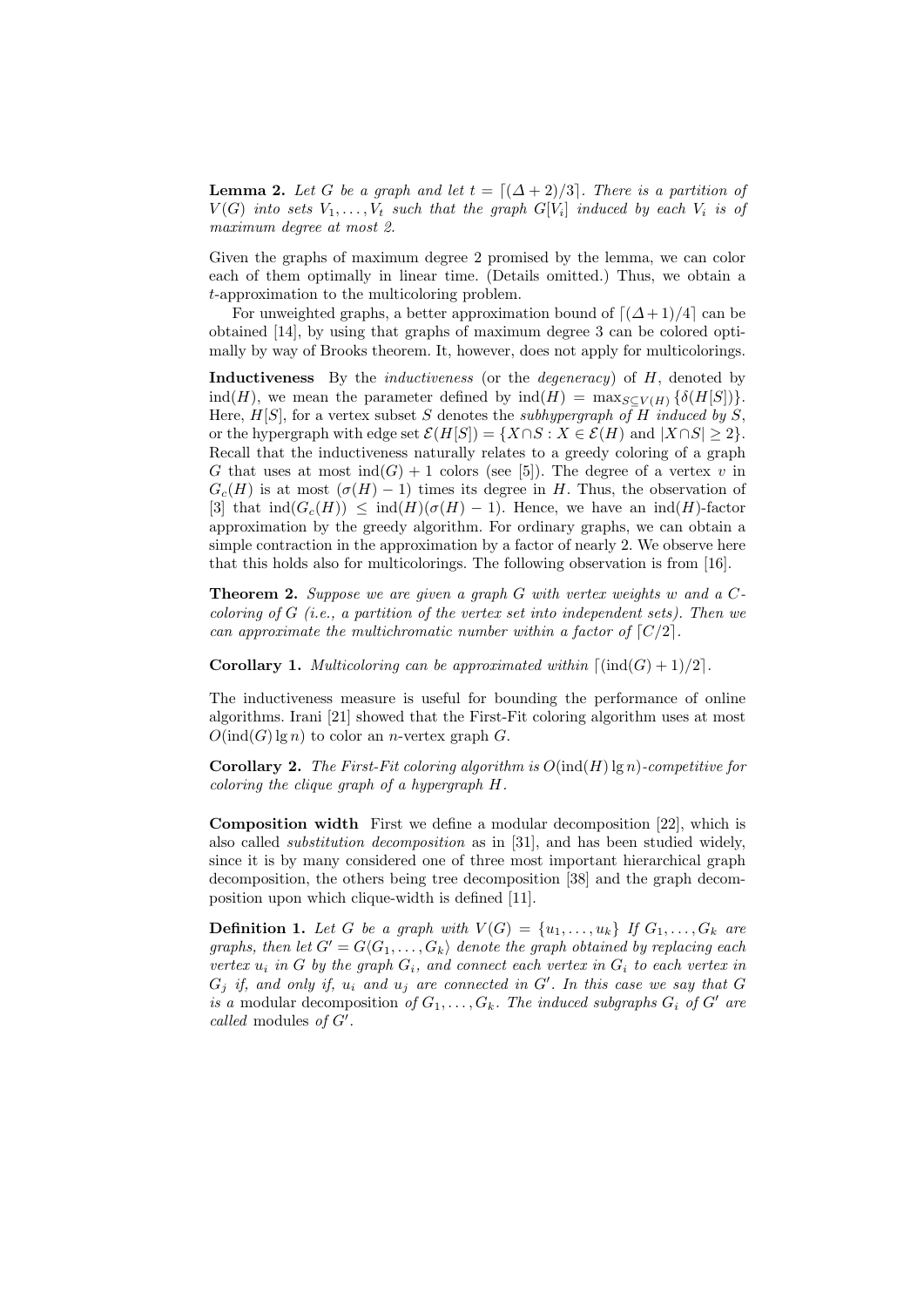**Lemma 2.** Let G be a graph and let  $t = \lfloor (\Delta + 2)/3 \rfloor$ . There is a partition of  $V(G)$  into sets  $V_1,\ldots,V_t$  such that the graph  $G[V_i]$  induced by each  $V_i$  is of maximum degree at most 2.

Given the graphs of maximum degree 2 promised by the lemma, we can color each of them optimally in linear time. (Details omitted.) Thus, we obtain a t-approximation to the multicoloring problem.

For unweighted graphs, a better approximation bound of  $[(\Delta+1)/4]$  can be obtained [14], by using that graphs of maximum degree 3 can be colored optimally by way of Brooks theorem. It, however, does not apply for multicolorings.

Inductiveness By the *inductiveness* (or the *degeneracy*) of H, denoted by ind(H), we mean the parameter defined by  $\text{ind}(H) = \max_{S \subset V(H)} \{ \delta(H[S]) \}.$ Here,  $H[S]$ , for a vertex subset S denotes the subhypergraph of H induced by S, or the hypergraph with edge set  $\mathcal{E}(H[S]) = \{X \cap S : X \in \mathcal{E}(H) \text{ and } |X \cap S| \geq 2\}.$ Recall that the inductiveness naturally relates to a greedy coloring of a graph G that uses at most  $\text{ind}(G) + 1$  colors (see [5]). The degree of a vertex v in  $G_c(H)$  is at most  $(\sigma(H)-1)$  times its degree in H. Thus, the observation of [3] that  $\text{ind}(G_c(H)) \leq \text{ind}(H)(\sigma(H)-1)$ . Hence, we have an  $\text{ind}(H)$ -factor approximation by the greedy algorithm. For ordinary graphs, we can obtain a simple contraction in the approximation by a factor of nearly 2. We observe here that this holds also for multicolorings. The following observation is from [16].

**Theorem 2.** Suppose we are given a graph  $G$  with vertex weights w and a  $C$ coloring of  $G$  (i.e., a partition of the vertex set into independent sets). Then we can approximate the multichromatic number within a factor of  $\lceil C/2 \rceil$ .

**Corollary 1.** Multicoloring can be approximated within  $\lceil (\text{ind}(G) + 1)/2 \rceil$ .

The inductiveness measure is useful for bounding the performance of online algorithms. Irani [21] showed that the First-Fit coloring algorithm uses at most  $O(\text{ind}(G) \lg n)$  to color an *n*-vertex graph G.

**Corollary 2.** The First-Fit coloring algorithm is  $O(\text{ind}(H) \lg n)$ -competitive for coloring the clique graph of a hypergraph H.

Composition width First we define a modular decomposition [22], which is also called substitution decomposition as in [31], and has been studied widely, since it is by many considered one of three most important hierarchical graph decomposition, the others being tree decomposition [38] and the graph decomposition upon which clique-width is defined [11].

**Definition 1.** Let G be a graph with  $V(G) = \{u_1, \ldots, u_k\}$  If  $G_1, \ldots, G_k$  are graphs, then let  $G' = G\langle G_1, \ldots, G_k \rangle$  denote the graph obtained by replacing each vertex  $u_i$  in G by the graph  $G_i$ , and connect each vertex in  $G_i$  to each vertex in  $G_j$  if, and only if,  $u_i$  and  $u_j$  are connected in  $G'$ . In this case we say that  $G$ is a modular decomposition of  $G_1, \ldots, G_k$ . The induced subgraphs  $G_i$  of  $G'$  are called modules of  $G'$ .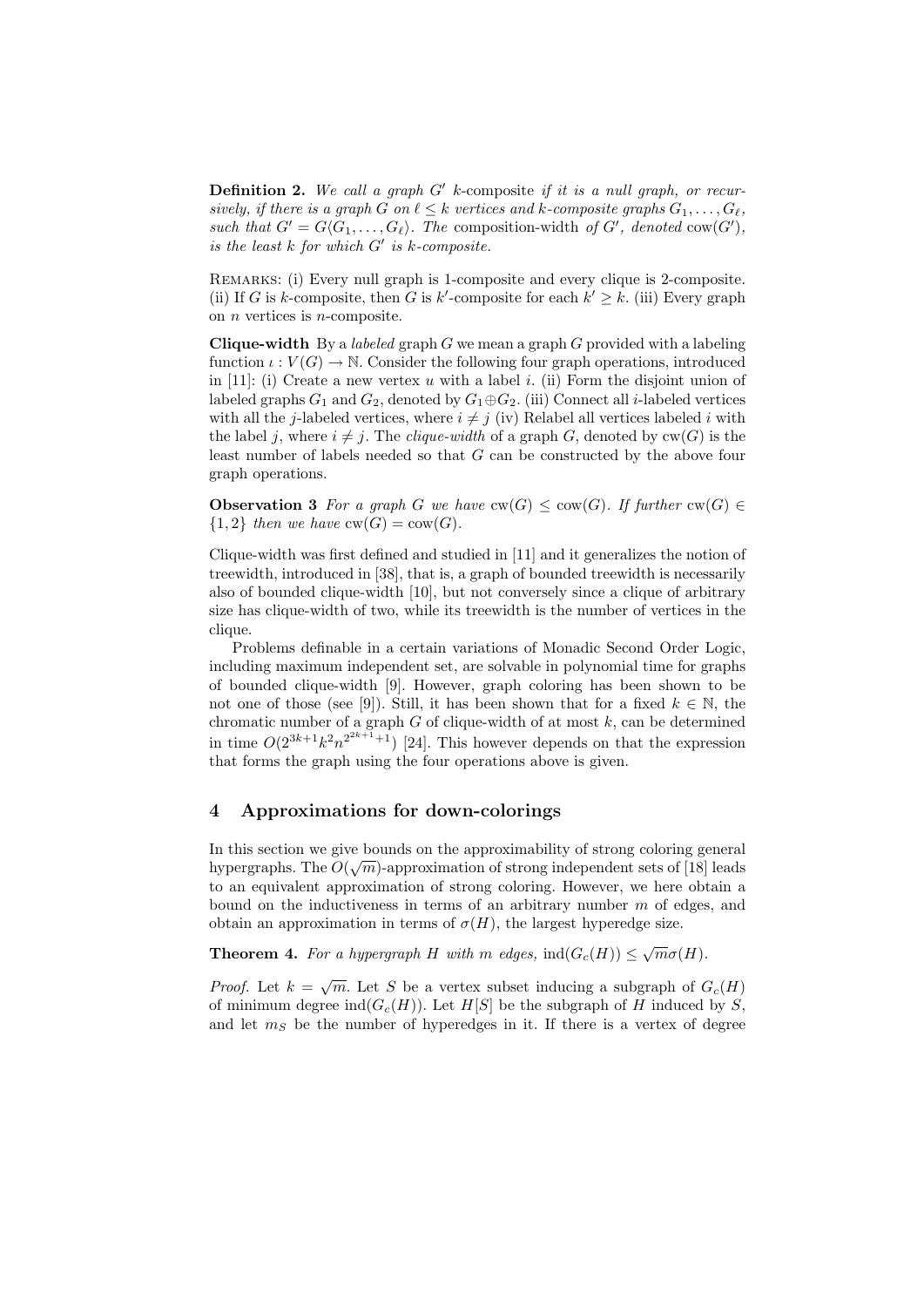**Definition 2.** We call a graph  $G'$  k-composite if it is a null graph, or recursively, if there is a graph G on  $\ell \leq k$  vertices and k-composite graphs  $G_1, \ldots, G_\ell$ , such that  $G' = G\langle G_1, \ldots, G_\ell\rangle$ . The composition-width of G', denoted cow(G'), is the least  $k$  for which  $G'$  is  $k$ -composite.

Remarks: (i) Every null graph is 1-composite and every clique is 2-composite. (ii) If G is k-composite, then G is k'-composite for each  $k' \geq k$ . (iii) Every graph on  $n$  vertices is  $n$ -composite.

**Clique-width** By a *labeled* graph G we mean a graph G provided with a labeling function  $\iota: V(G) \to \mathbb{N}$ . Consider the following four graph operations, introduced in  $[11]$ : (i) Create a new vertex u with a label i. (ii) Form the disjoint union of labeled graphs  $G_1$  and  $G_2$ , denoted by  $G_1 \oplus G_2$ . (iii) Connect all *i*-labeled vertices with all the j-labeled vertices, where  $i \neq j$  (iv) Relabel all vertices labeled i with the label j, where  $i \neq j$ . The *clique-width* of a graph G, denoted by  $cw(G)$  is the least number of labels needed so that G can be constructed by the above four graph operations.

**Observation 3** For a graph G we have  $\text{cw}(G) \leq \text{cw}(G)$ . If further  $\text{cw}(G) \in$  ${1, 2}$  then we have  $cw(G) = cow(G)$ .

Clique-width was first defined and studied in [11] and it generalizes the notion of treewidth, introduced in [38], that is, a graph of bounded treewidth is necessarily also of bounded clique-width [10], but not conversely since a clique of arbitrary size has clique-width of two, while its treewidth is the number of vertices in the clique.

Problems definable in a certain variations of Monadic Second Order Logic, including maximum independent set, are solvable in polynomial time for graphs of bounded clique-width [9]. However, graph coloring has been shown to be not one of those (see [9]). Still, it has been shown that for a fixed  $k \in \mathbb{N}$ , the chromatic number of a graph  $G$  of clique-width of at most  $k$ , can be determined in time  $O(2^{3k+1}k^2n^{2^{2k+1}+1})$  [24]. This however depends on that the expression that forms the graph using the four operations above is given.

# 4 Approximations for down-colorings

In this section we give bounds on the approximability of strong coloring general hypergraphs. The  $O(\sqrt{m})$ -approximation of strong independent sets of [18] leads to an equivalent approximation of strong coloring. However, we here obtain a bound on the inductiveness in terms of an arbitrary number  $m$  of edges, and obtain an approximation in terms of  $\sigma(H)$ , the largest hyperedge size.

**Theorem 4.** For a hypergraph H with m edges,  $ind(G_c(H)) \leq \sqrt{2}$  $\overline{m}\sigma(H).$ 

*Proof.* Let  $k =$  $\overline{m}$ . Let S be a vertex subset inducing a subgraph of  $G_c(H)$ of minimum degree ind( $G<sub>c</sub>(H)$ ). Let H[S] be the subgraph of H induced by S, and let  $m<sub>S</sub>$  be the number of hyperedges in it. If there is a vertex of degree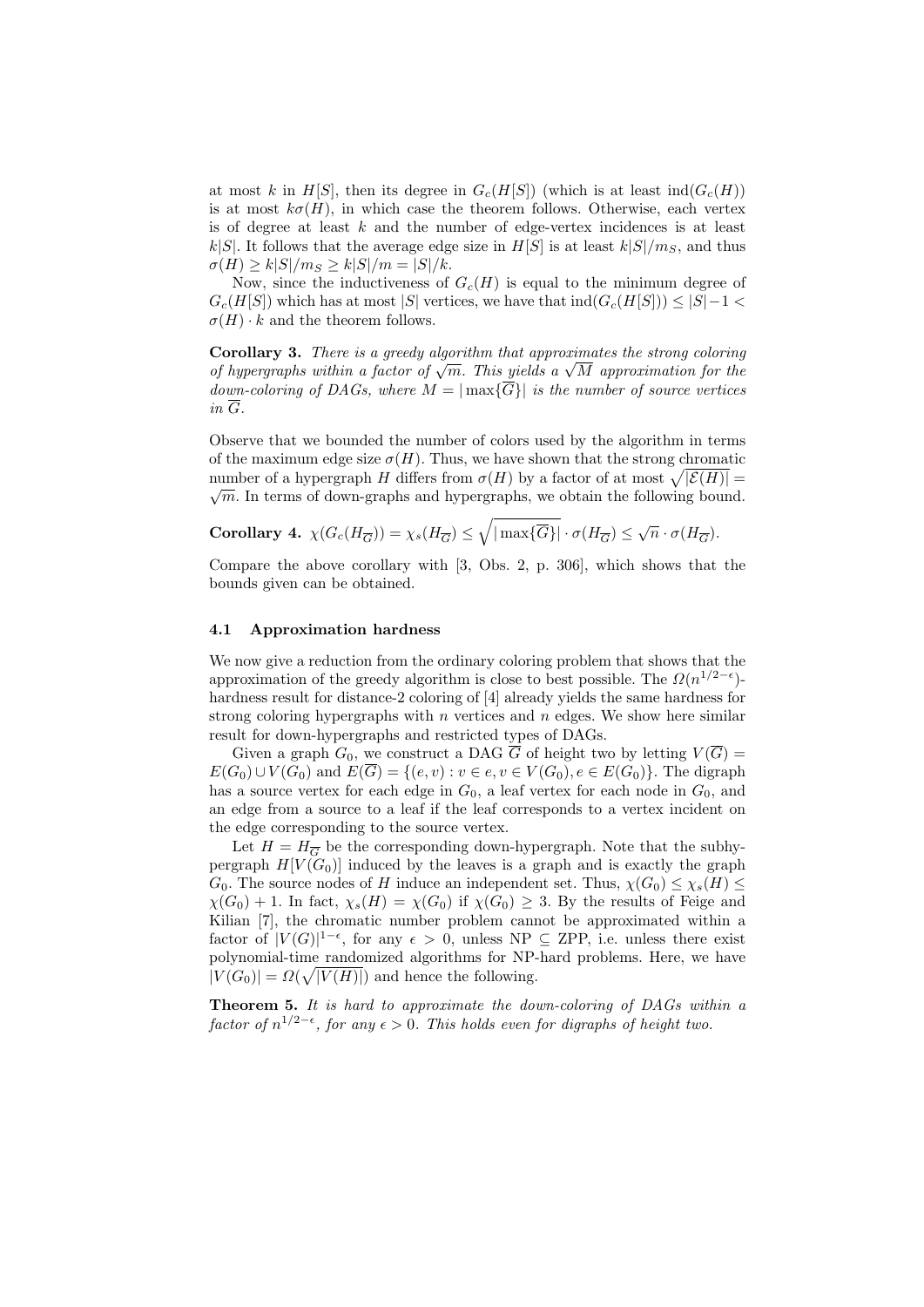at most k in H[S], then its degree in  $G_c(H[S])$  (which is at least ind( $G_c(H)$ ) is at most  $k\sigma(H)$ , in which case the theorem follows. Otherwise, each vertex is of degree at least  $k$  and the number of edge-vertex incidences is at least  $k|S|$ . It follows that the average edge size in  $H[S]$  is at least  $k|S|/m_S$ , and thus  $\sigma(H) \ge k|S|/m_S \ge k|S|/m = |S|/k.$ 

Now, since the inductiveness of  $G_c(H)$  is equal to the minimum degree of  $G_c(H[S])$  which has at most |S| vertices, we have that  $\text{ind}(G_c(H[S])) \leq |S|-1$  $\sigma(H) \cdot k$  and the theorem follows.

Corollary 3. There is a greedy algorithm that approximates the strong coloring **Corollary 3.** There is a greedy algorithm that approximates the strong coloring of hypergraphs within a factor of  $\sqrt{m}$ . This yields a  $\sqrt{M}$  approximation for the down-coloring of DAGs, where  $M = \max{\{\overline{G}\}\}\$ is the number of source vertices  $in \overline{G}$ .

Observe that we bounded the number of colors used by the algorithm in terms of the maximum edge size  $\sigma(H)$ . Thus, we have shown that the strong chromatic number of a hypergraph  $H$  differs from  $\sigma(H)$  by a factor of at most  $\sqrt{|\mathcal{E}(H)|} =$  $\sqrt{m}$ . In terms of down-graphs and hypergraphs, we obtain the following bound.

Corollary 4. 
$$
\chi(G_c(H_{\overline{G}})) = \chi_s(H_{\overline{G}}) \le \sqrt{|\max{\overline{G}}|} \cdot \sigma(H_{\overline{G}}) \le \sqrt{n} \cdot \sigma(H_{\overline{G}}).
$$

Compare the above corollary with [3, Obs. 2, p. 306], which shows that the bounds given can be obtained.

#### 4.1 Approximation hardness

We now give a reduction from the ordinary coloring problem that shows that the approximation of the greedy algorithm is close to best possible. The  $\Omega(n^{1/2-\epsilon})$ hardness result for distance-2 coloring of [4] already yields the same hardness for strong coloring hypergraphs with  $n$  vertices and  $n$  edges. We show here similar result for down-hypergraphs and restricted types of DAGs.

Given a graph  $G_0$ , we construct a DAG  $\overline{G}$  of height two by letting  $V(\overline{G}) =$  $E(G_0) \cup V(G_0)$  and  $E(\overline{G}) = \{(e,v) : v \in e, v \in V(G_0), e \in E(G_0)\}.$  The digraph has a source vertex for each edge in  $G_0$ , a leaf vertex for each node in  $G_0$ , and an edge from a source to a leaf if the leaf corresponds to a vertex incident on the edge corresponding to the source vertex.

Let  $H = H_{\overline{G}}$  be the corresponding down-hypergraph. Note that the subhypergraph  $H[V(G_0)]$  induced by the leaves is a graph and is exactly the graph  $G_0$ . The source nodes of H induce an independent set. Thus,  $\chi(G_0) \leq \chi_s(H) \leq$  $\chi(G_0) + 1$ . In fact,  $\chi_s(H) = \chi(G_0)$  if  $\chi(G_0) \geq 3$ . By the results of Feige and Kilian [7], the chromatic number problem cannot be approximated within a factor of  $|V(G)|^{1-\epsilon}$ , for any  $\epsilon > 0$ , unless NP  $\subseteq$  ZPP, i.e. unless there exist polynomial-time randomized algorithms for NP-hard problems. Here, we have  $|V(G_0)| = \Omega(\sqrt{|V(H)|})$  and hence the following.

Theorem 5. It is hard to approximate the down-coloring of DAGs within a factor of  $n^{1/2-\epsilon}$ , for any  $\epsilon > 0$ . This holds even for digraphs of height two.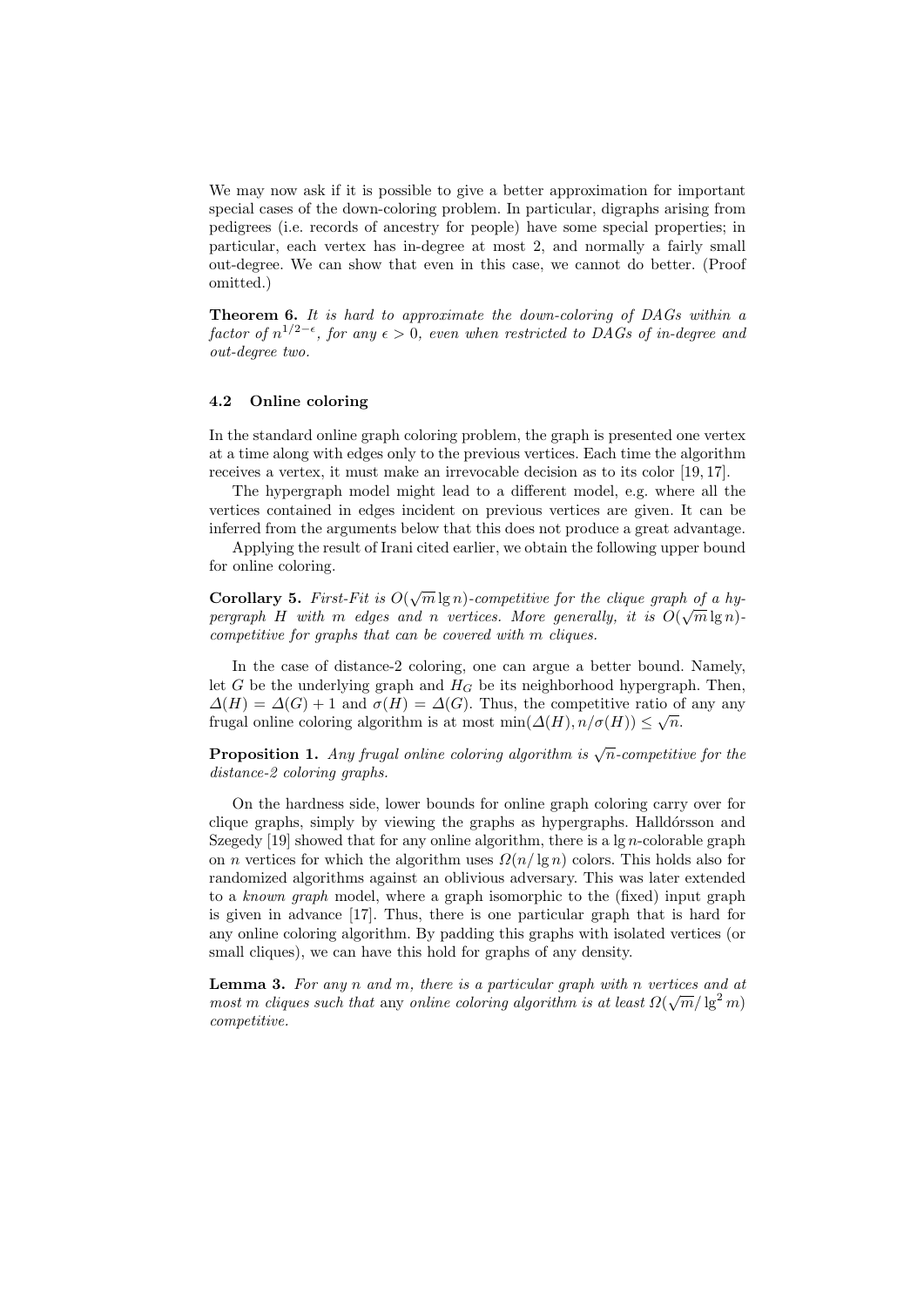We may now ask if it is possible to give a better approximation for important special cases of the down-coloring problem. In particular, digraphs arising from pedigrees (i.e. records of ancestry for people) have some special properties; in particular, each vertex has in-degree at most 2, and normally a fairly small out-degree. We can show that even in this case, we cannot do better. (Proof omitted.)

Theorem 6. It is hard to approximate the down-coloring of DAGs within a factor of  $n^{1/2-\epsilon}$ , for any  $\epsilon > 0$ , even when restricted to DAGs of in-degree and out-degree two.

### 4.2 Online coloring

In the standard online graph coloring problem, the graph is presented one vertex at a time along with edges only to the previous vertices. Each time the algorithm receives a vertex, it must make an irrevocable decision as to its color [19, 17].

The hypergraph model might lead to a different model, e.g. where all the vertices contained in edges incident on previous vertices are given. It can be inferred from the arguments below that this does not produce a great advantage.

Applying the result of Irani cited earlier, we obtain the following upper bound for online coloring.

Corollary 5. First-Fit is  $O(n)$  $\overline{m} \lg n$ )-competitive for the clique graph of a hypergraph H with m edges and n vertices. More generally, it is  $O(\sqrt{m}\lg n)$ . competitive for graphs that can be covered with m cliques.

In the case of distance-2 coloring, one can argue a better bound. Namely, let G be the underlying graph and  $H_G$  be its neighborhood hypergraph. Then,  $\Delta(H) = \Delta(G) + 1$  and  $\sigma(H) = \Delta(G)$ . Thus, the competitive ratio of any any frugal online coloring algorithm is at most min $(\Delta(H), n/\sigma(H)) \leq \sqrt{n}$ .

**Proposition 1.** Any frugal online coloring algorithm is  $\sqrt{n}$ -competitive for the distance-2 coloring graphs.

On the hardness side, lower bounds for online graph coloring carry over for clique graphs, simply by viewing the graphs as hypergraphs. Halldórsson and Szegedy [19] showed that for any online algorithm, there is a  $\lg n$ -colorable graph on *n* vertices for which the algorithm uses  $\Omega(n/\lg n)$  colors. This holds also for randomized algorithms against an oblivious adversary. This was later extended to a known graph model, where a graph isomorphic to the (fixed) input graph is given in advance [17]. Thus, there is one particular graph that is hard for any online coloring algorithm. By padding this graphs with isolated vertices (or small cliques), we can have this hold for graphs of any density.

**Lemma 3.** For any n and m, there is a particular graph with n vertices and at most m cliques such that any online coloring algorithm is at least  $\Omega(\sqrt{m}/\lg^2 m)$ competitive.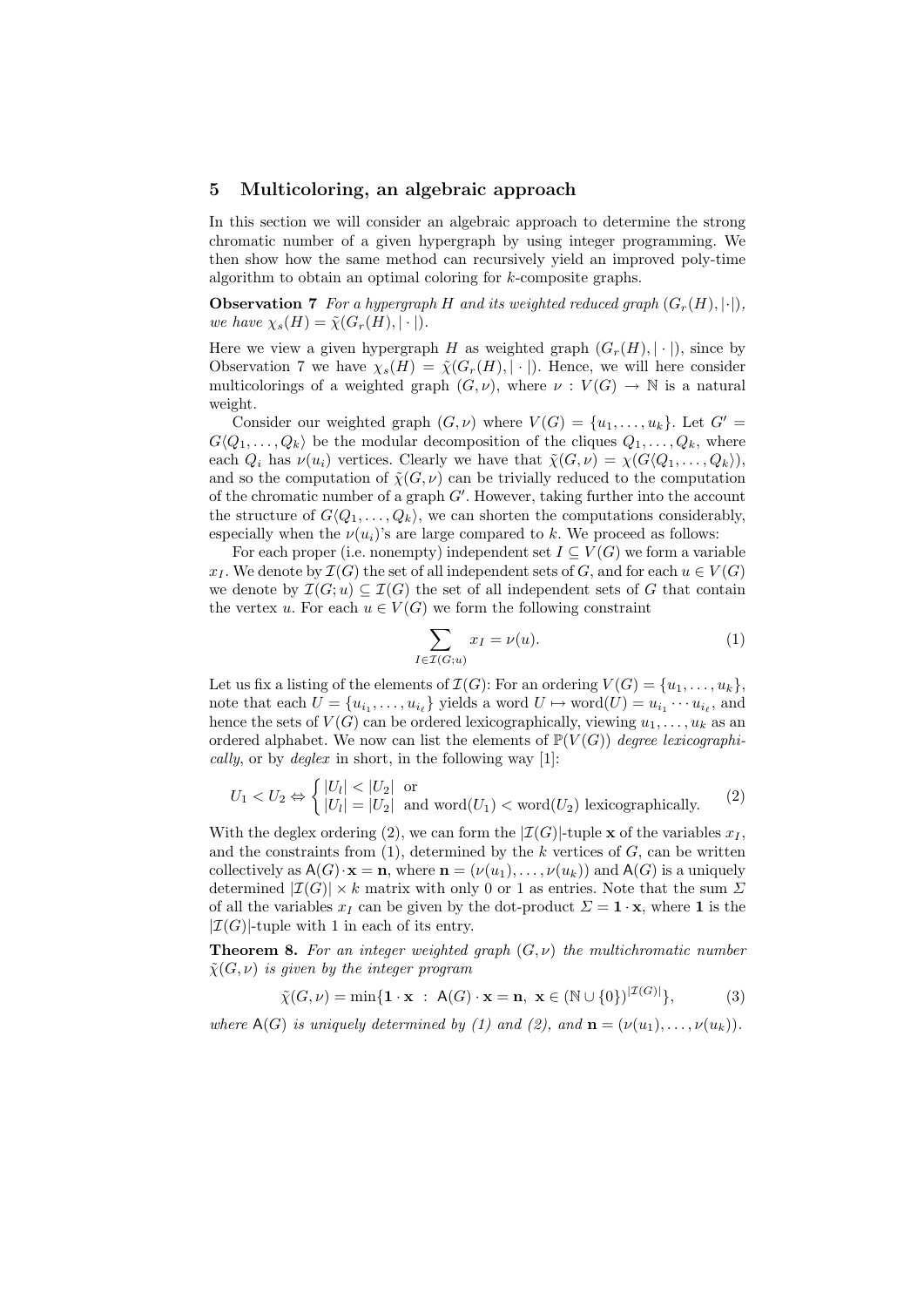### 5 Multicoloring, an algebraic approach

In this section we will consider an algebraic approach to determine the strong chromatic number of a given hypergraph by using integer programming. We then show how the same method can recursively yield an improved poly-time algorithm to obtain an optimal coloring for k-composite graphs.

**Observation 7** For a hypergraph H and its weighted reduced graph  $(G_r(H), \lvert \cdot \rvert)$ , we have  $\chi_s(H) = \tilde{\chi}(G_r(H), |\cdot|).$ 

Here we view a given hypergraph H as weighted graph  $(G_r(H), |\cdot|)$ , since by Observation 7 we have  $\chi_s(H) = \tilde{\chi}(G_r(H), |\cdot|)$ . Hence, we will here consider multicolorings of a weighted graph  $(G, \nu)$ , where  $\nu : V(G) \to \mathbb{N}$  is a natural weight.

Consider our weighted graph  $(G, \nu)$  where  $V(G) = \{u_1, \ldots, u_k\}$ . Let  $G' =$  $G\langle Q_1, \ldots, Q_k \rangle$  be the modular decomposition of the cliques  $Q_1, \ldots, Q_k$ , where each  $Q_i$  has  $\nu(u_i)$  vertices. Clearly we have that  $\tilde{\chi}(G, \nu) = \chi(G\langle Q_1, \ldots, Q_k \rangle),$ and so the computation of  $\tilde{\chi}(G,\nu)$  can be trivially reduced to the computation of the chromatic number of a graph  $G'$ . However, taking further into the account the structure of  $G\langle Q_1, \ldots, Q_k \rangle$ , we can shorten the computations considerably, especially when the  $\nu(u_i)$ 's are large compared to k. We proceed as follows:

For each proper (i.e. nonempty) independent set  $I \subseteq V(G)$  we form a variable  $x_I$ . We denote by  $\mathcal{I}(G)$  the set of all independent sets of G, and for each  $u \in V(G)$ we denote by  $\mathcal{I}(G; u) \subseteq \mathcal{I}(G)$  the set of all independent sets of G that contain the vertex u. For each  $u \in V(G)$  we form the following constraint

$$
\sum_{I \in \mathcal{I}(G;u)} x_I = \nu(u). \tag{1}
$$

Let us fix a listing of the elements of  $\mathcal{I}(G)$ : For an ordering  $V(G) = \{u_1, \ldots, u_k\},\$ note that each  $U = \{u_{i_1}, \ldots, u_{i_\ell}\}\$  yields a word  $U \mapsto \text{word}(U) = u_{i_1} \cdots u_{i_\ell}$ , and hence the sets of  $V(G)$  can be ordered lexicographically, viewing  $u_1, \ldots, u_k$  as an ordered alphabet. We now can list the elements of  $\mathbb{P}(V(G))$  degree lexicographically, or by  $\text{degree}$  in short, in the following way [1]:

$$
U_1 < U_2 \Leftrightarrow \begin{cases} |U_l| < |U_2| & \text{or} \\ |U_l| = |U_2| & \text{and word}(U_1) < \text{word}(U_2) \end{cases} \text{lexicographically.} \tag{2}
$$

With the deglex ordering (2), we can form the  $|\mathcal{I}(G)|$ -tuple x of the variables  $x_I$ , and the constraints from  $(1)$ , determined by the k vertices of G, can be written collectively as  $A(G) \cdot x = n$ , where  $n = (\nu(u_1), \ldots, \nu(u_k))$  and  $A(G)$  is a uniquely determined  $|\mathcal{I}(G)| \times k$  matrix with only 0 or 1 as entries. Note that the sum  $\Sigma$ of all the variables  $x_I$  can be given by the dot-product  $\Sigma = \mathbf{1} \cdot \mathbf{x}$ , where **1** is the  $|\mathcal{I}(G)|$ -tuple with 1 in each of its entry.

**Theorem 8.** For an integer weighted graph  $(G, \nu)$  the multichromatic number  $\tilde{\chi}(G,\nu)$  is given by the integer program

$$
\tilde{\chi}(G,\nu) = \min\{\mathbf{1} \cdot \mathbf{x} \; : \; A(G) \cdot \mathbf{x} = \mathbf{n}, \; \mathbf{x} \in (\mathbb{N} \cup \{0\})^{|\mathcal{I}(G)|}\},\tag{3}
$$

where  $A(G)$  is uniquely determined by (1) and (2), and  $\mathbf{n} = (\nu(u_1), \dots, \nu(u_k)).$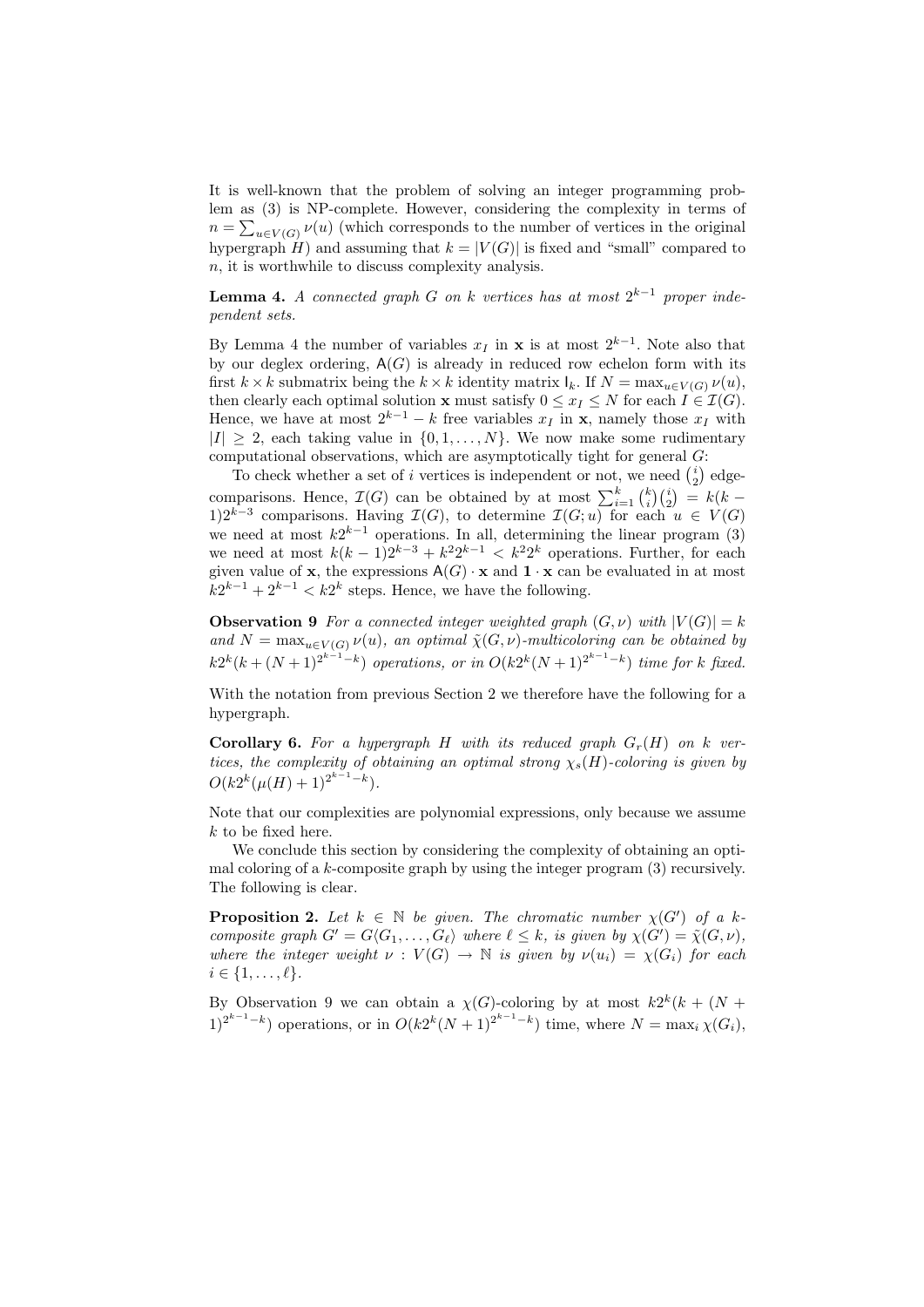It is well-known that the problem of solving an integer programming problem as (3) is NP-complete. However, considering the complexity in terms of  $n = \sum_{u \in V(G)} \nu(u)$  (which corresponds to the number of vertices in the original hypergraph  $H$ ) and assuming that  $k = |V(G)|$  is fixed and "small" compared to  $n<sub>i</sub>$  it is worthwhile to discuss complexity analysis.

**Lemma 4.** A connected graph G on k vertices has at most  $2^{k-1}$  proper independent sets.

By Lemma 4 the number of variables  $x_I$  in **x** is at most  $2^{k-1}$ . Note also that by our deglex ordering,  $A(G)$  is already in reduced row echelon form with its first  $k \times k$  submatrix being the  $k \times k$  identity matrix  $I_k$ . If  $N = \max_{u \in V(G)} \nu(u)$ , then clearly each optimal solution **x** must satisfy  $0 \leq x_I \leq N$  for each  $I \in \mathcal{I}(G)$ . Hence, we have at most  $2^{k-1} - k$  free variables  $x_I$  in **x**, namely those  $x_I$  with  $|I| \geq 2$ , each taking value in  $\{0, 1, ..., N\}$ . We now make some rudimentary computational observations, which are asymptotically tight for general  $G$ :

To check whether a set of i vertices is independent or not, we need  $\binom{i}{2}$  edgecomparisons. Hence,  $\mathcal{I}(G)$  can be obtained by at most  $\sum_{i=1}^{k} {k \choose i} {i \choose 2} = k(k -$ 1)2<sup>k-3</sup> comparisons. Having  $\mathcal{I}(G)$ , to determine  $\mathcal{I}(G;u)$  for each  $u \in V(G)$ we need at most  $k2^{k-1}$  operations. In all, determining the linear program (3) we need at most  $k(k-1)2^{k-3}+k^22^{k-1} < k^22^k$  operations. Further, for each given value of **x**, the expressions  $A(G) \cdot \mathbf{x}$  and  $\mathbf{1} \cdot \mathbf{x}$  can be evaluated in at most  $k2^{k-1} + 2^{k-1} < k2^k$  steps. Hence, we have the following.

**Observation 9** For a connected integer weighted graph  $(G, \nu)$  with  $|V(G)| = k$ and  $N = \max_{u \in V(G)} \nu(u)$ , an optimal  $\tilde{\chi}(G, \nu)$ -multicoloring can be obtained by  $k2^{k}(k+(N+1)^{2^{k-1}-k})$  operations, or in  $O(k2^{k}(N+1)^{2^{k-1}-k})$  time for k fixed.

With the notation from previous Section 2 we therefore have the following for a hypergraph.

**Corollary 6.** For a hypergraph H with its reduced graph  $G_r(H)$  on k vertices, the complexity of obtaining an optimal strong  $\chi_s(H)$ -coloring is given by  $O(k2^k(\mu(H)+1)^{2^{k-1}-k}).$ 

Note that our complexities are polynomial expressions, only because we assume k to be fixed here.

We conclude this section by considering the complexity of obtaining an optimal coloring of a  $k$ -composite graph by using the integer program  $(3)$  recursively. The following is clear.

**Proposition 2.** Let  $k \in \mathbb{N}$  be given. The chromatic number  $\chi(G')$  of a kcomposite graph  $G' = G\langle G_1, \ldots, G_\ell \rangle$  where  $\ell \leq k$ , is given by  $\chi(G') = \tilde{\chi}(G, \nu)$ , where the integer weight  $\nu : V(G) \to \mathbb{N}$  is given by  $\nu(u_i) = \chi(G_i)$  for each  $i \in \{1,\ldots,\ell\}.$ 

By Observation 9 we can obtain a  $\chi(G)$ -coloring by at most  $k2^k(k + (N +$  $1)^{2^{k-1}-k}$ ) operations, or in  $O(k2^k(N+1)^{2^{k-1}-k})$  time, where  $N = \max_i \chi(G_i)$ ,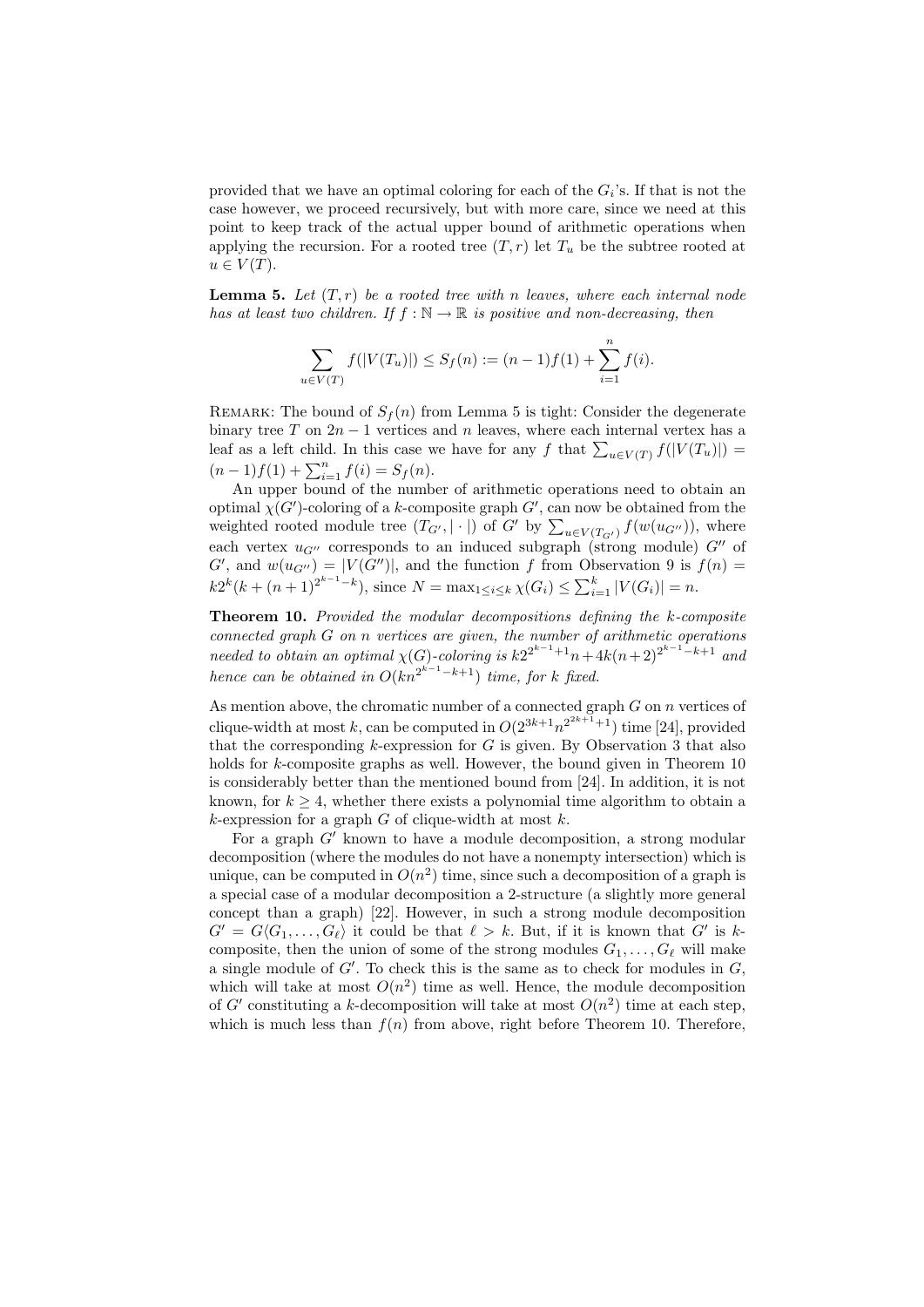provided that we have an optimal coloring for each of the  $G_i$ 's. If that is not the case however, we proceed recursively, but with more care, since we need at this point to keep track of the actual upper bound of arithmetic operations when applying the recursion. For a rooted tree  $(T, r)$  let  $T_u$  be the subtree rooted at  $u \in V(T)$ .

**Lemma 5.** Let  $(T, r)$  be a rooted tree with n leaves, where each internal node has at least two children. If  $f : \mathbb{N} \to \mathbb{R}$  is positive and non-decreasing, then

$$
\sum_{u \in V(T)} f(|V(T_u)|) \le S_f(n) := (n-1)f(1) + \sum_{i=1}^n f(i).
$$

REMARK: The bound of  $S_f(n)$  from Lemma 5 is tight: Consider the degenerate binary tree T on  $2n-1$  vertices and n leaves, where each internal vertex has a leaf as a left child. In this case we have for any f that  $\sum_{u \in V(T)} f(|V(T_u)|) =$  $(n-1)f(1) + \sum_{i=1}^{n} f(i) = S_f(n).$ 

An upper bound of the number of arithmetic operations need to obtain an optimal  $\chi(G')$ -coloring of a k-composite graph  $G'$ , can now be obtained from the weighted rooted module tree  $(T_{G'} , | \cdot |)$  of  $G'$  by  $\sum_{u \in V(T_{G'})} f(w(u_{G''})),$  where each vertex  $u_{G''}$  corresponds to an induced subgraph (strong module)  $G''$  of  $G'$ , and  $w(u_{G''}) = |V(G'')|$ , and the function f from Observation 9 is  $f(n) =$  $k2^{k}(k + (n+1)^{2^{k-1}-k})$ , since  $N = \max_{1 \leq i \leq k} \chi(G_i) \leq \sum_{i=1}^{k} |V(G_i)| = n$ .

Theorem 10. Provided the modular decompositions defining the k-composite connected graph G on n vertices are given, the number of arithmetic operations needed to obtain an optimal  $\chi(G)$ -coloring is  $k2^{2^{k-1}+1}n+4k(n+2)^{2^{k-1}-k+1}$  and hence can be obtained in  $O(kn^{2^{k-1}-k+1})$  time, for k fixed.

As mention above, the chromatic number of a connected graph  $G$  on  $n$  vertices of clique-width at most k, can be computed in  $O(2^{3k+1}n^{2^{2k+1}+1})$  time [24], provided that the corresponding  $k$ -expression for  $G$  is given. By Observation 3 that also holds for k-composite graphs as well. However, the bound given in Theorem 10 is considerably better than the mentioned bound from [24]. In addition, it is not known, for  $k \geq 4$ , whether there exists a polynomial time algorithm to obtain a  $k$ -expression for a graph G of clique-width at most  $k$ .

For a graph  $G'$  known to have a module decomposition, a strong modular decomposition (where the modules do not have a nonempty intersection) which is unique, can be computed in  $O(n^2)$  time, since such a decomposition of a graph is a special case of a modular decomposition a 2-structure (a slightly more general concept than a graph) [22]. However, in such a strong module decomposition  $G' = G\langle G_1, \ldots, G_\ell \rangle$  it could be that  $\ell > k$ . But, if it is known that  $G'$  is kcomposite, then the union of some of the strong modules  $G_1, \ldots, G_\ell$  will make a single module of  $G'$ . To check this is the same as to check for modules in  $G$ , which will take at most  $O(n^2)$  time as well. Hence, the module decomposition of G' constituting a k-decomposition will take at most  $O(n^2)$  time at each step, which is much less than  $f(n)$  from above, right before Theorem 10. Therefore,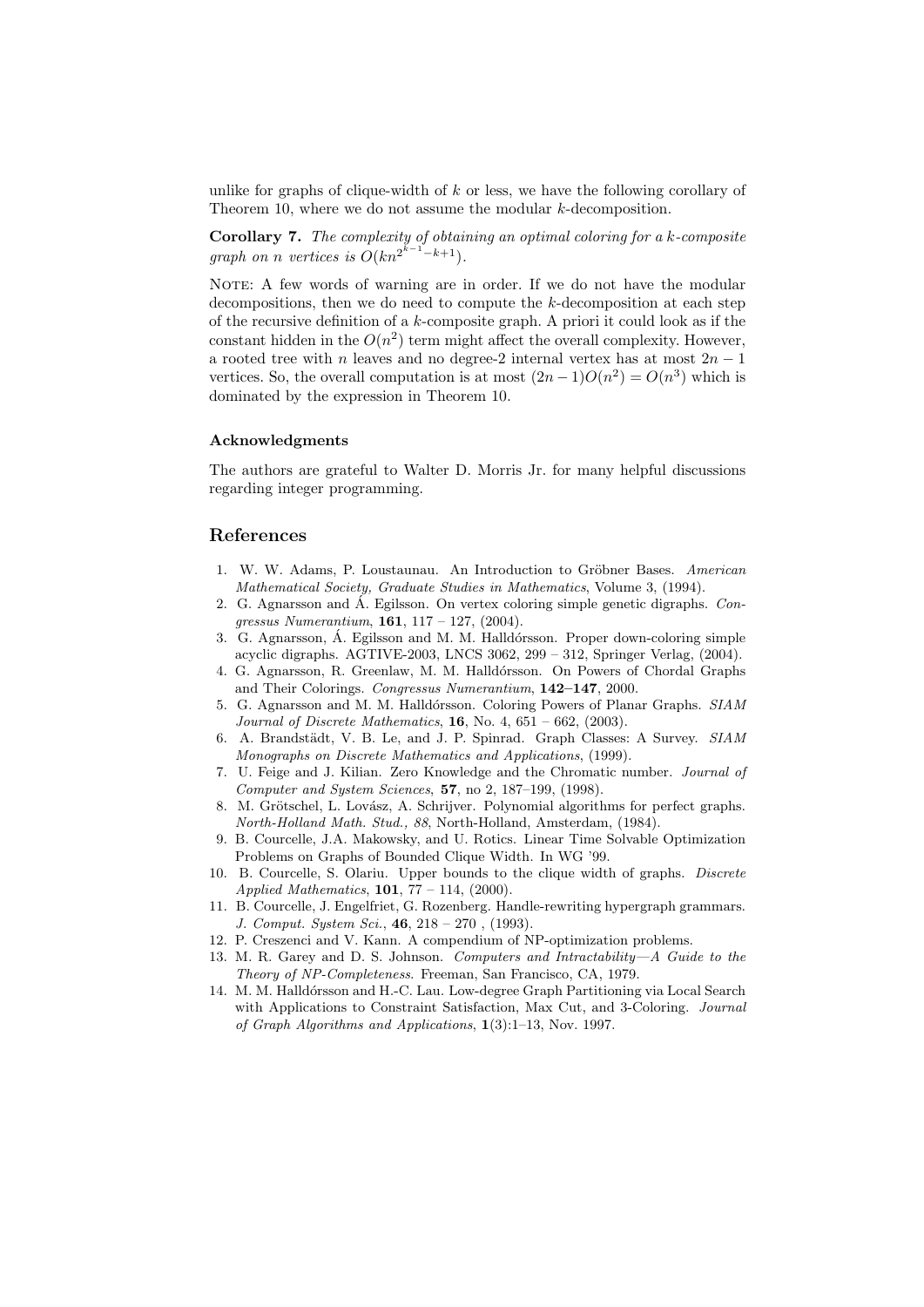unlike for graphs of clique-width of  $k$  or less, we have the following corollary of Theorem 10, where we do not assume the modular k-decomposition.

**Corollary 7.** The complexity of obtaining an optimal coloring for a  $k$ -composite graph on n vertices is  $O(kn^{2^{k-1}-k+1})$ .

NOTE: A few words of warning are in order. If we do not have the modular decompositions, then we do need to compute the  $k$ -decomposition at each step of the recursive definition of a  $k$ -composite graph. A priori it could look as if the constant hidden in the  $O(n^2)$  term might affect the overall complexity. However, a rooted tree with n leaves and no degree-2 internal vertex has at most  $2n - 1$ vertices. So, the overall computation is at most  $(2n-1)O(n^2) = O(n^3)$  which is dominated by the expression in Theorem 10.

#### Acknowledgments

The authors are grateful to Walter D. Morris Jr. for many helpful discussions regarding integer programming.

# References

- 1. W. W. Adams, P. Loustaunau. An Introduction to Gröbner Bases. American Mathematical Society, Graduate Studies in Mathematics, Volume 3, (1994).
- 2. G. Agnarsson and  $\acute{A}$ . Egilsson. On vertex coloring simple genetic digraphs. *Con*gressus Numerantium,  $161, 117 - 127, (2004)$ .
- 3. G. Agnarsson, Á. Egilsson and M. M. Halldórsson. Proper down-coloring simple acyclic digraphs. AGTIVE-2003, LNCS 3062, 299 – 312, Springer Verlag, (2004).
- 4. G. Agnarsson, R. Greenlaw, M. M. Halldórsson. On Powers of Chordal Graphs and Their Colorings. Congressus Numerantium, 142–147, 2000.
- 5. G. Agnarsson and M. M. Halldórsson. Coloring Powers of Planar Graphs. SIAM *Journal of Discrete Mathematics*, **16**, No. 4,  $651 - 662$ ,  $(2003)$ .
- 6. A. Brandst¨adt, V. B. Le, and J. P. Spinrad. Graph Classes: A Survey. SIAM Monographs on Discrete Mathematics and Applications, (1999).
- 7. U. Feige and J. Kilian. Zero Knowledge and the Chromatic number. Journal of Computer and System Sciences, 57, no 2, 187–199, (1998).
- 8. M. Grötschel, L. Lovász, A. Schrijver. Polynomial algorithms for perfect graphs. North-Holland Math. Stud., 88, North-Holland, Amsterdam, (1984).
- 9. B. Courcelle, J.A. Makowsky, and U. Rotics. Linear Time Solvable Optimization Problems on Graphs of Bounded Clique Width. In WG '99.
- 10. B. Courcelle, S. Olariu. Upper bounds to the clique width of graphs. Discrete Applied Mathematics,  $101, 77 - 114, (2000)$ .
- 11. B. Courcelle, J. Engelfriet, G. Rozenberg. Handle-rewriting hypergraph grammars. J. Comput. System Sci., 46, 218 – 270 , (1993).
- 12. P. Creszenci and V. Kann. A compendium of NP-optimization problems.
- 13. M. R. Garey and D. S. Johnson. Computers and Intractability—A Guide to the Theory of NP-Completeness. Freeman, San Francisco, CA, 1979.
- 14. M. M. Halldórsson and H.-C. Lau. Low-degree Graph Partitioning via Local Search with Applications to Constraint Satisfaction, Max Cut, and 3-Coloring. Journal of Graph Algorithms and Applications, 1(3):1–13, Nov. 1997.